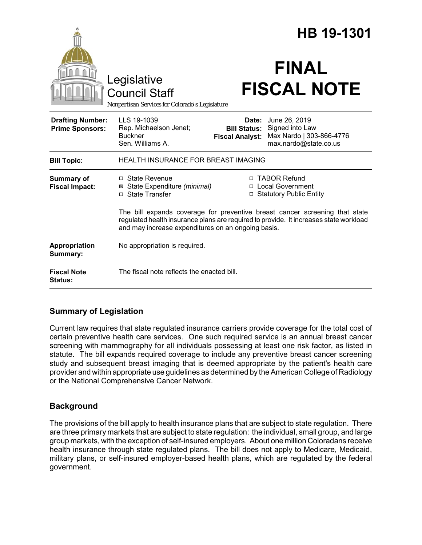|                                                   |                                                                                                                                                                                                                            |                                                        | HB 19-1301                                                                            |
|---------------------------------------------------|----------------------------------------------------------------------------------------------------------------------------------------------------------------------------------------------------------------------------|--------------------------------------------------------|---------------------------------------------------------------------------------------|
|                                                   | Legislative<br><b>Council Staff</b><br>Nonpartisan Services for Colorado's Legislature                                                                                                                                     |                                                        | <b>FINAL</b><br><b>FISCAL NOTE</b>                                                    |
| <b>Drafting Number:</b><br><b>Prime Sponsors:</b> | LLS 19-1039<br>Rep. Michaelson Jenet;<br><b>Buckner</b><br>Sen. Williams A.                                                                                                                                                | Date:<br><b>Bill Status:</b><br><b>Fiscal Analyst:</b> | June 26, 2019<br>Signed into Law<br>Max Nardo   303-866-4776<br>max.nardo@state.co.us |
| <b>Bill Topic:</b>                                | <b>HEALTH INSURANCE FOR BREAST IMAGING</b>                                                                                                                                                                                 |                                                        |                                                                                       |
| <b>Summary of</b><br><b>Fiscal Impact:</b>        | $\Box$ State Revenue<br>⊠ State Expenditure (minimal)<br>□ State Transfer                                                                                                                                                  |                                                        | □ TABOR Refund<br>□ Local Government<br>□ Statutory Public Entity                     |
|                                                   | The bill expands coverage for preventive breast cancer screening that state<br>regulated health insurance plans are required to provide. It increases state workload<br>and may increase expenditures on an ongoing basis. |                                                        |                                                                                       |
| Appropriation<br>Summary:                         | No appropriation is required.                                                                                                                                                                                              |                                                        |                                                                                       |
| <b>Fiscal Note</b><br>Status:                     | The fiscal note reflects the enacted bill.                                                                                                                                                                                 |                                                        |                                                                                       |

# **Summary of Legislation**

Current law requires that state regulated insurance carriers provide coverage for the total cost of certain preventive health care services. One such required service is an annual breast cancer screening with mammography for all individuals possessing at least one risk factor, as listed in statute. The bill expands required coverage to include any preventive breast cancer screening study and subsequent breast imaging that is deemed appropriate by the patient's health care provider and within appropriate use guidelines as determined by the American College of Radiology or the National Comprehensive Cancer Network.

# **Background**

The provisions of the bill apply to health insurance plans that are subject to state regulation. There are three primary markets that are subject to state regulation: the individual, small group, and large group markets, with the exception of self-insured employers. About one million Coloradans receive health insurance through state regulated plans. The bill does not apply to Medicare, Medicaid, military plans, or self-insured employer-based health plans, which are regulated by the federal government.